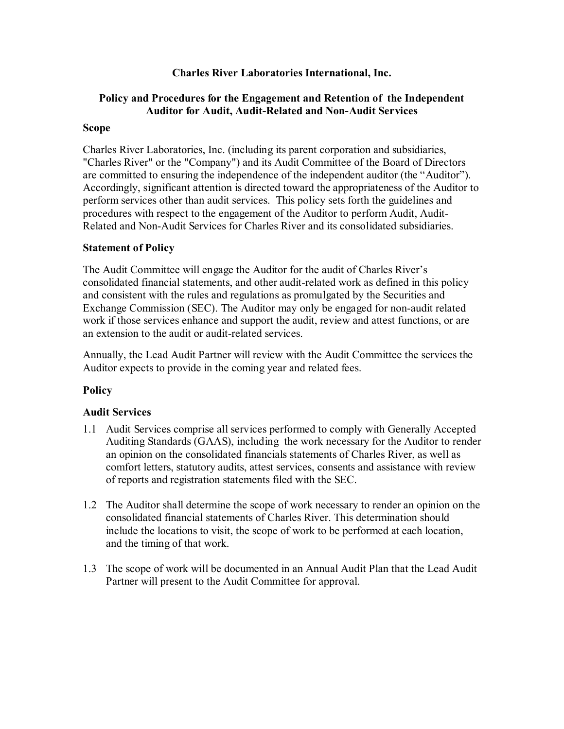### **Charles River Laboratories International, Inc.**

# **Policy and Procedures for the Engagement and Retention of the Independent Auditor for Audit, Audit-Related and Non-Audit Services**

### **Scope**

Charles River Laboratories, Inc. (including its parent corporation and subsidiaries, "Charles River" or the "Company") and its Audit Committee of the Board of Directors are committed to ensuring the independence of the independent auditor (the "Auditor"). Accordingly, significant attention is directed toward the appropriateness of the Auditor to perform services other than audit services. This policy sets forth the guidelines and procedures with respect to the engagement of the Auditor to perform Audit, Audit-Related and Non-Audit Services for Charles River and its consolidated subsidiaries.

### **Statement of Policy**

The Audit Committee will engage the Auditor for the audit of Charles River's consolidated financial statements, and other audit-related work as defined in this policy and consistent with the rules and regulations as promulgated by the Securities and Exchange Commission (SEC). The Auditor may only be engaged for non-audit related work if those services enhance and support the audit, review and attest functions, or are an extension to the audit or audit-related services.

Annually, the Lead Audit Partner will review with the Audit Committee the services the Auditor expects to provide in the coming year and related fees.

# **Policy**

### **Audit Services**

- 1.1 Audit Services comprise all services performed to comply with Generally Accepted Auditing Standards (GAAS), including the work necessary for the Auditor to render an opinion on the consolidated financials statements of Charles River, as well as comfort letters, statutory audits, attest services, consents and assistance with review of reports and registration statements filed with the SEC.
- 1.2 The Auditor shall determine the scope of work necessary to render an opinion on the consolidated financial statements of Charles River. This determination should include the locations to visit, the scope of work to be performed at each location, and the timing of that work.
- 1.3 The scope of work will be documented in an Annual Audit Plan that the Lead Audit Partner will present to the Audit Committee for approval.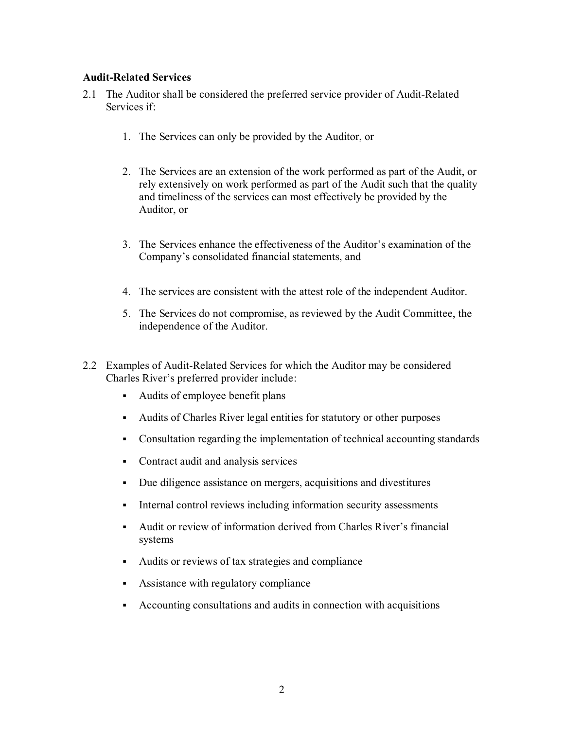### **Audit-Related Services**

- 2.1 The Auditor shall be considered the preferred service provider of Audit-Related Services if:
	- 1. The Services can only be provided by the Auditor, or
	- 2. The Services are an extension of the work performed as part of the Audit, or rely extensively on work performed as part of the Audit such that the quality and timeliness of the services can most effectively be provided by the Auditor, or
	- 3. The Services enhance the effectiveness of the Auditor's examination of the Company's consolidated financial statements, and
	- 4. The services are consistent with the attest role of the independent Auditor.
	- 5. The Services do not compromise, as reviewed by the Audit Committee, the independence of the Auditor.
- 2.2 Examples of Audit-Related Services for which the Auditor may be considered Charles River's preferred provider include:
	- Audits of employee benefit plans
	- Audits of Charles River legal entities for statutory or other purposes
	- Consultation regarding the implementation of technical accounting standards
	- Contract audit and analysis services
	- Due diligence assistance on mergers, acquisitions and divestitures
	- Internal control reviews including information security assessments
	- Audit or review of information derived from Charles River's financial systems
	- Audits or reviews of tax strategies and compliance
	- Assistance with regulatory compliance
	- Accounting consultations and audits in connection with acquisitions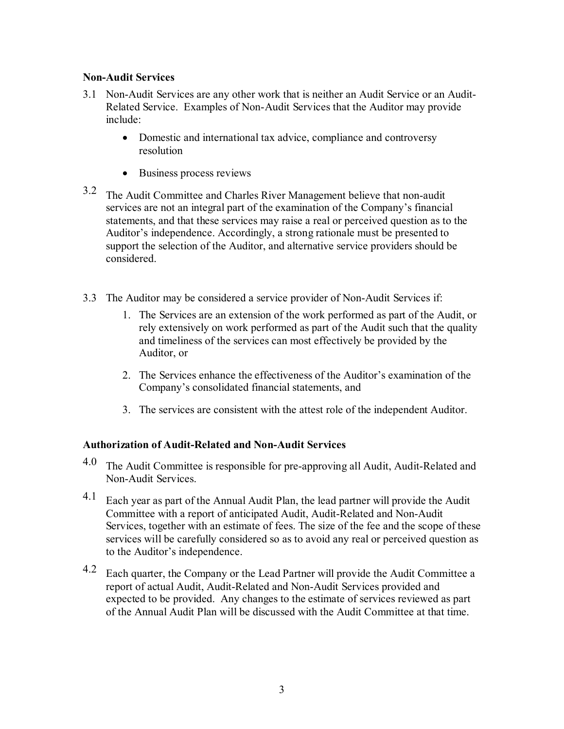# **Non-Audit Services**

- 3.1 Non-Audit Services are any other work that is neither an Audit Service or an Audit-Related Service. Examples of Non-Audit Services that the Auditor may provide include:
	- Domestic and international tax advice, compliance and controversy resolution
	- Business process reviews
- 3.2 The Audit Committee and Charles River Management believe that non-audit services are not an integral part of the examination of the Company's financial statements, and that these services may raise a real or perceived question as to the Auditor's independence. Accordingly, a strong rationale must be presented to support the selection of the Auditor, and alternative service providers should be considered.
- 3.3 The Auditor may be considered a service provider of Non-Audit Services if:
	- 1. The Services are an extension of the work performed as part of the Audit, or rely extensively on work performed as part of the Audit such that the quality and timeliness of the services can most effectively be provided by the Auditor, or
	- 2. The Services enhance the effectiveness of the Auditor's examination of the Company's consolidated financial statements, and
	- 3. The services are consistent with the attest role of the independent Auditor.

# **Authorization of Audit-Related and Non-Audit Services**

- $4.0$  The Audit Committee is responsible for pre-approving all Audit, Audit-Related and Non-Audit Services.
- $4.1$  Each year as part of the Annual Audit Plan, the lead partner will provide the Audit Committee with a report of anticipated Audit, Audit-Related and Non-Audit Services, together with an estimate of fees. The size of the fee and the scope of these services will be carefully considered so as to avoid any real or perceived question as to the Auditor's independence.
- 4.2 Each quarter, the Company or the Lead Partner will provide the Audit Committee a report of actual Audit, Audit-Related and Non-Audit Services provided and expected to be provided. Any changes to the estimate of services reviewed as part of the Annual Audit Plan will be discussed with the Audit Committee at that time.